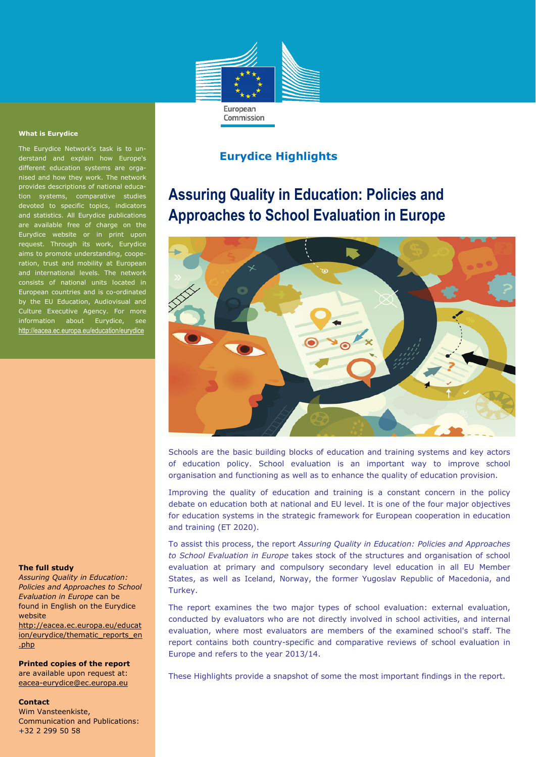

#### **What is Eurydice**

The Eurydice Network's task is to understand and explain how Europe's different education systems are organised and how they work. The network provides descriptions of national education systems, comparative studies devoted to specific topics, indicators and statistics. All Eurydice publications are available free of charge on the Eurydice website or in print upon request. Through its work, Eurydice aims to promote understanding, cooperation, trust and mobility at European and international levels. The network consists of national units located in European countries and is co-ordinated by the EU Education, Audiovisual and Culture Executive Agency. For more information about Eurydice, see http://eacea.ec.europa.eu/education/eurydice

## **The full study**

*Assuring Quality in Education: Policies and Approaches to School Evaluation in Europe* can be found in English on the Eurydice website

http://eacea.ec.europa.eu/educat ion/eurydice/thematic\_reports\_en .php

**Printed copies of the report**  are available upon request at: eacea-eurydice@ec.europa.eu

#### **Contact**

Wim Vansteenkiste, Communication and Publications: +32 2 299 50 58

# **Eurydice Highlights**

# **Assuring Quality in Education: Policies and Approaches to School Evaluation in Europe**



Schools are the basic building blocks of education and training systems and key actors of education policy. School evaluation is an important way to improve school organisation and functioning as well as to enhance the quality of education provision.

Improving the quality of education and training is a constant concern in the policy debate on education both at national and EU level. It is one of the four major objectives for education systems in the strategic framework for European cooperation in education and training (ET 2020).

To assist this process, the report *Assuring Quality in Education: Policies and Approaches to School Evaluation in Europe* takes stock of the structures and organisation of school evaluation at primary and compulsory secondary level education in all EU Member States, as well as Iceland, Norway, the former Yugoslav Republic of Macedonia, and Turkey.

The report examines the two major types of school evaluation: external evaluation, conducted by evaluators who are not directly involved in school activities, and internal evaluation, where most evaluators are members of the examined school's staff. The report contains both country-specific and comparative reviews of school evaluation in Europe and refers to the year 2013/14.

These Highlights provide a snapshot of some the most important findings in the report.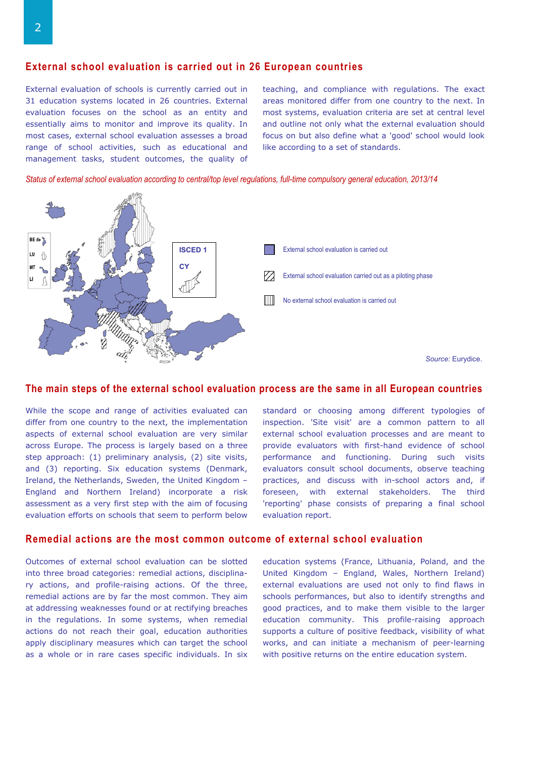# **External school evaluation is carried out in 26 European countries**

External evaluation of schools is currently carried out in 31 education systems located in 26 countries. External evaluation focuses on the school as an entity and essentially aims to monitor and improve its quality. In most cases, external school evaluation assesses a broad range of school activities, such as educational and management tasks, student outcomes, the quality of teaching, and compliance with regulations. The exact areas monitored differ from one country to the next. In most systems, evaluation criteria are set at central level and outline not only what the external evaluation should focus on but also define what a 'good' school would look like according to a set of standards.

*Status of external school evaluation according to central/top level regulations, full-time compulsory general education, 2013/14* 



#### **The main steps of the external school evaluation process are the same in all European countries**

While the scope and range of activities evaluated can differ from one country to the next, the implementation aspects of external school evaluation are very similar across Europe. The process is largely based on a three step approach: (1) preliminary analysis, (2) site visits, and (3) reporting. Six education systems (Denmark, Ireland, the Netherlands, Sweden, the United Kingdom – England and Northern Ireland) incorporate a risk assessment as a very first step with the aim of focusing evaluation efforts on schools that seem to perform below standard or choosing among different typologies of inspection. 'Site visit' are a common pattern to all external school evaluation processes and are meant to provide evaluators with first-hand evidence of school performance and functioning. During such visits evaluators consult school documents, observe teaching practices, and discuss with in-school actors and, if foreseen, with external stakeholders. The third 'reporting' phase consists of preparing a final school evaluation report.

### **Remedial actions are the most common outcome of external school evaluation**

Outcomes of external school evaluation can be slotted into three broad categories: remedial actions, disciplinary actions, and profile-raising actions. Of the three, remedial actions are by far the most common. They aim at addressing weaknesses found or at rectifying breaches in the regulations. In some systems, when remedial actions do not reach their goal, education authorities apply disciplinary measures which can target the school as a whole or in rare cases specific individuals. In six

education systems (France, Lithuania, Poland, and the United Kingdom – England, Wales, Northern Ireland) external evaluations are used not only to find flaws in schools performances, but also to identify strengths and good practices, and to make them visible to the larger education community. This profile-raising approach supports a culture of positive feedback, visibility of what works, and can initiate a mechanism of peer-learning with positive returns on the entire education system.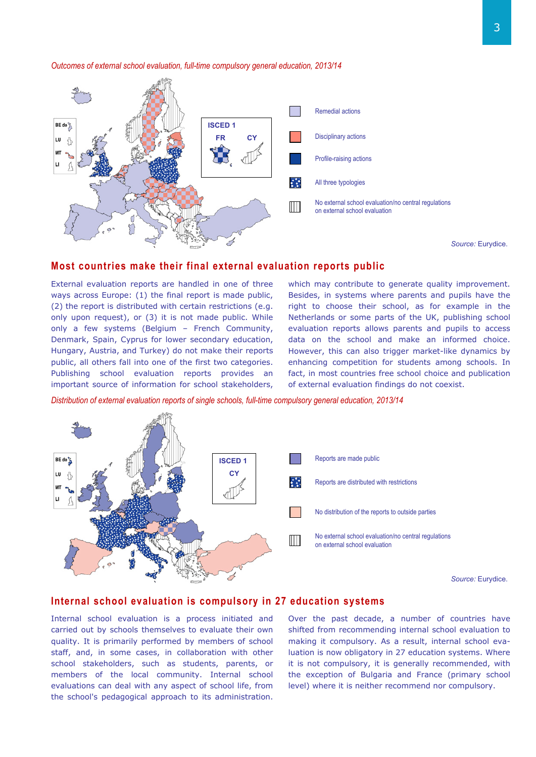

#### *Outcomes of external school evaluation, full-time compulsory general education, 2013/14*

*Source:* Eurydice.

### **Most countries make their final external evaluation reports public**

External evaluation reports are handled in one of three ways across Europe: (1) the final report is made public, (2) the report is distributed with certain restrictions (e.g. only upon request), or (3) it is not made public. While only a few systems (Belgium – French Community, Denmark, Spain, Cyprus for lower secondary education, Hungary, Austria, and Turkey) do not make their reports public, all others fall into one of the first two categories. Publishing school evaluation reports provides an important source of information for school stakeholders,

which may contribute to generate quality improvement. Besides, in systems where parents and pupils have the right to choose their school, as for example in the Netherlands or some parts of the UK, publishing school evaluation reports allows parents and pupils to access data on the school and make an informed choice. However, this can also trigger market-like dynamics by enhancing competition for students among schools. In fact, in most countries free school choice and publication of external evaluation findings do not coexist.

*Distribution of external evaluation reports of single schools, full-time compulsory general education, 2013/14* 



## **Internal school evaluation is compulsory in 27 education systems**

Internal school evaluation is a process initiated and carried out by schools themselves to evaluate their own quality. It is primarily performed by members of school staff, and, in some cases, in collaboration with other school stakeholders, such as students, parents, or members of the local community. Internal school evaluations can deal with any aspect of school life, from the school's pedagogical approach to its administration.

Over the past decade, a number of countries have shifted from recommending internal school evaluation to making it compulsory. As a result, internal school evaluation is now obligatory in 27 education systems. Where it is not compulsory, it is generally recommended, with the exception of Bulgaria and France (primary school level) where it is neither recommend nor compulsory.